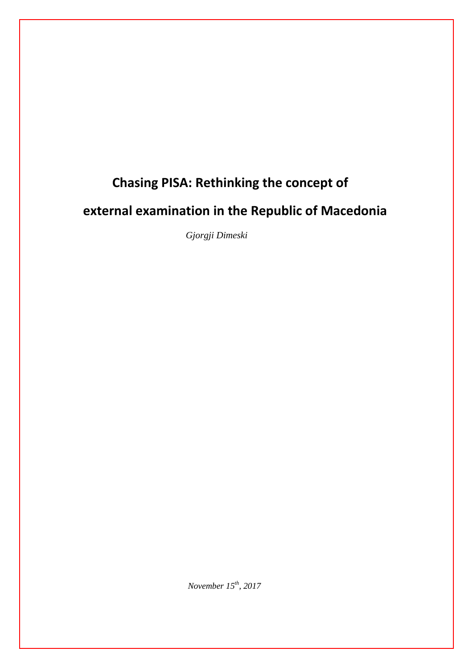# **Chasing PISA: Rethinking the concept of**

# **external examination in the Republic of Macedonia**

 *Gjorgji Dimeski*

*November 15th, 2017*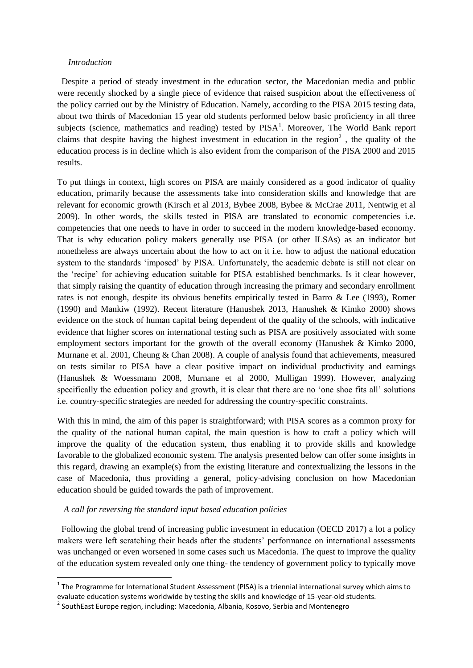#### *Introduction*

 Despite a period of steady investment in the education sector, the Macedonian media and public were recently shocked by a single piece of evidence that raised suspicion about the effectiveness of the policy carried out by the Ministry of Education. Namely, according to the PISA 2015 testing data, about two thirds of Macedonian 15 year old students performed below basic proficiency in all three subjects (science, mathematics and reading) tested by  $PISA<sup>1</sup>$ . Moreover, The World Bank report claims that despite having the highest investment in education in the region<sup>2</sup>, the quality of the education process is in decline which is also evident from the comparison of the PISA 2000 and 2015 results.

Тo put things in context, high scores on PISA are mainly considered as a good indicator of quality education, primarily because the assessments take into consideration skills and knowledge that are relevant for economic growth (Kirsch et al 2013, Bybee 2008, Bybee & McCrae 2011, Nentwig et al 2009). In other words, the skills tested in PISA are translated to economic competencies i.e. competencies that one needs to have in order to succeed in the modern knowledge-based economy. That is why education policy makers generally use PISA (or other ILSAs) as an indicator but nonetheless are always uncertain about the how to act on it i.e. how to adjust the national education system to the standards 'imposed' by PISA. Unfortunately, the academic debate is still not clear on the 'recipe' for achieving education suitable for PISA established benchmarks. Is it clear however, that simply raising the quantity of education through increasing the primary and secondary enrollment rates is not enough, despite its obvious benefits empirically tested in Barro & Lee (1993), Romer (1990) and Mankiw (1992). Recent literature (Hanushek 2013, Hanushek & Kimko 2000) shows evidence on the stock of human capital being dependent of the quality of the schools, with indicative evidence that higher scores on international testing such as PISA are positively associated with some employment sectors important for the growth of the overall economy (Hanushek & Kimko 2000, Murnane et al. 2001, Cheung & Chan 2008). A couple of analysis found that achievements, measured on tests similar to PISA have a clear positive impact on individual productivity and earnings (Hanushek & Woessmann 2008, Murnane et al 2000, Mulligan 1999). However, analyzing specifically the education policy and growth, it is clear that there are no 'one shoe fits all' solutions i.e. country-specific strategies are needed for addressing the country-specific constraints.

With this in mind, the aim of this paper is straightforward; with PISA scores as a common proxy for the quality of the national human capital, the main question is how to craft a policy which will improve the quality of the education system, thus enabling it to provide skills and knowledge favorable to the globalized economic system. The analysis presented below can offer some insights in this regard, drawing an example(s) from the existing literature and contextualizing the lessons in the case of Macedonia, thus providing a general, policy-advising conclusion on how Macedonian education should be guided towards the path of improvement.

## *A call for reversing the standard input based education policies*

**.** 

 Following the global trend of increasing public investment in education (OECD 2017) a lot a policy makers were left scratching their heads after the students' performance on international assessments was unchanged or even worsened in some cases such us Macedonia. The quest to improve the quality of the education system revealed only one thing- the tendency of government policy to typically move

 $1$  The Programme for International Student Assessment (PISA) is a triennial international survey which aims to evaluate education systems worldwide by testing the skills and knowledge of 15-year-old students.

<sup>&</sup>lt;sup>2</sup> SouthEast Europe region, including: Macedonia, Albania, Kosovo, Serbia and Montenegro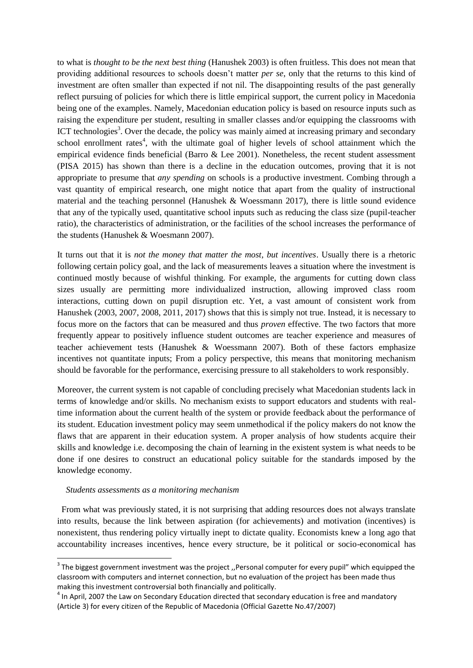to what is *thought to be the next best thing* (Hanushek 2003) is often fruitless. This does not mean that providing additional resources to schools doesn't matter *per se*, only that the returns to this kind of investment are often smaller than expected if not nil. The disappointing results of the past generally reflect pursuing of policies for which there is little empirical support, the current policy in Macedonia being one of the examples. Namely, Macedonian education policy is based on resource inputs such as raising the expenditure per student, resulting in smaller classes and/or equipping the classrooms with ICT technologies<sup>3</sup>. Over the decade, the policy was mainly aimed at increasing primary and secondary school enrollment rates<sup>4</sup>, with the ultimate goal of higher levels of school attainment which the empirical evidence finds beneficial (Barro & Lee 2001). Nonetheless, the recent student assessment (PISA 2015) has shown than there is a decline in the education outcomes, proving that it is not appropriate to presume that *any spending* on schools is a productive investment. Combing through a vast quantity of empirical research, one might notice that apart from the quality of instructional material and the teaching personnel (Hanushek & Woessmann 2017), there is little sound evidence that any of the typically used, quantitative school inputs such as reducing the class size (pupil-teacher ratio), the characteristics of administration, or the facilities of the school increases the performance of the students (Hanushek & Woesmann 2007).

It turns out that it is *not the money that matter the most, but incentives*. Usually there is a rhetoric following certain policy goal, and the lack of measurements leaves a situation where the investment is continued mostly because of wishful thinking. For example, the arguments for cutting down class sizes usually are permitting more individualized instruction, allowing improved class room interactions, cutting down on pupil disruption etc. Yet, a vast amount of consistent work from Hanushek (2003, 2007, 2008, 2011, 2017) shows that this is simply not true. Instead, it is necessary to focus more on the factors that can be measured and thus *proven* effective. The two factors that more frequently appear to positively influence student outcomes are teacher experience and measures of teacher achievement tests (Hanushek & Woessmann 2007). Both of these factors emphasize incentives not quantitate inputs; From a policy perspective, this means that monitoring mechanism should be favorable for the performance, exercising pressure to all stakeholders to work responsibly.

Moreover, the current system is not capable of concluding precisely what Macedonian students lack in terms of knowledge and/or skills. No mechanism exists to support educators and students with realtime information about the current health of the system or provide feedback about the performance of its student. Education investment policy may seem unmethodical if the policy makers do not know the flaws that are apparent in their education system. A proper analysis of how students acquire their skills and knowledge i.e. decomposing the chain of learning in the existent system is what needs to be done if one desires to construct an educational policy suitable for the standards imposed by the knowledge economy.

## *Students assessments as a monitoring mechanism*

 $\overline{\phantom{a}}$ 

From what was previously stated, it is not surprising that adding resources does not always translate into results, because the link between aspiration (for achievements) and motivation (incentives) is nonexistent, thus rendering policy virtually inept to dictate quality. Economists knew a long ago that accountability increases incentives, hence every structure, be it political or socio-economical has

 $3$  The biggest government investment was the project ,,Personal computer for every pupil" which equipped the classroom with computers and internet connection, but no evaluation of the project has been made thus making this investment controversial both financially and politically.

 $<sup>4</sup>$  In April, 2007 the Law on Secondary Education directed that secondary education is free and mandatory</sup> (Article 3) for every citizen of the Republic of Macedonia (Official Gazette No.47/2007)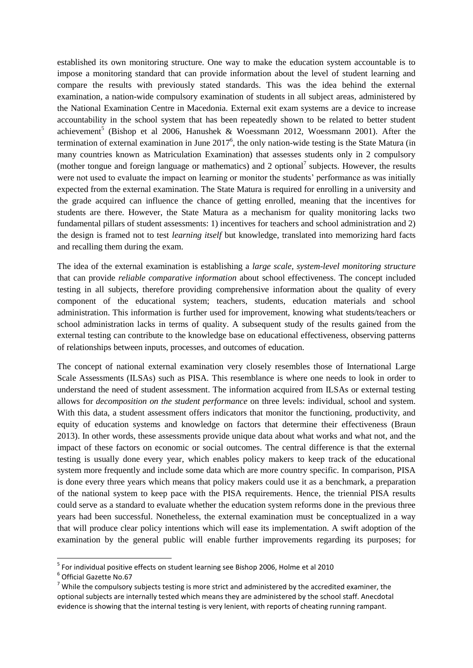established its own monitoring structure. One way to make the education system accountable is to impose a monitoring standard that can provide information about the level of student learning and compare the results with previously stated standards. This was the idea behind the external examination, a nation-wide compulsory examination of students in all subject areas, administered by the National Examination Centre in Macedonia. External exit exam systems are a device to increase accountability in the school system that has been repeatedly shown to be related to better student achievement<sup>5</sup> (Bishop et al 2006, Hanushek & Woessmann 2012, Woessmann 2001). After the termination of external examination in June  $2017^6$ , the only nation-wide testing is the State Matura (in many countries known as Matriculation Examination) that assesses students only in 2 compulsory (mother tongue and foreign language or mathematics) and 2 optional<sup>7</sup> subjects. However, the results were not used to evaluate the impact on learning or monitor the students' performance as was initially expected from the external examination. The State Matura is required for enrolling in a university and the grade acquired can influence the chance of getting enrolled, meaning that the incentives for students are there. However, the State Matura as a mechanism for quality monitoring lacks two fundamental pillars of student assessments: 1) incentives for teachers and school administration and 2) the design is framed not to test *learning itself* but knowledge, translated into memorizing hard facts and recalling them during the exam.

The idea of the external examination is establishing a *large scale, system-level monitoring structure* that can provide *reliable comparative information* about school effectiveness. The concept included testing in all subjects, therefore providing comprehensive information about the quality of every component of the educational system; teachers, students, education materials and school administration. This information is further used for improvement, knowing what students/teachers or school administration lacks in terms of quality. A subsequent study of the results gained from the external testing can contribute to the knowledge base on educational effectiveness, observing patterns of relationships between inputs, processes, and outcomes of education.

The concept of national external examination very closely resembles those of International Large Scale Assessments (ILSAs) such as PISA. This resemblance is where one needs to look in order to understand the need of student assessment. The information acquired from ILSAs or external testing allows for *decomposition on the student performance* on three levels: individual, school and system. With this data, a student assessment offers indicators that monitor the functioning, productivity, and equity of education systems and knowledge on factors that determine their effectiveness (Braun 2013). In other words, these assessments provide unique data about what works and what not, and the impact of these factors on economic or social outcomes. The central difference is that the external testing is usually done every year, which enables policy makers to keep track of the educational system more frequently and include some data which are more country specific. In comparison, PISA is done every three years which means that policy makers could use it as a benchmark, a preparation of the national system to keep pace with the PISA requirements. Hence, the triennial PISA results could serve as a standard to evaluate whether the education system reforms done in the previous three years had been successful. Nonetheless, the external examination must be conceptualized in a way that will produce clear policy intentions which will ease its implementation. A swift adoption of the examination by the general public will enable further improvements regarding its purposes; for

 $\overline{\phantom{a}}$ 

<sup>&</sup>lt;sup>5</sup> For individual positive effects on student learning see Bishop 2006, Holme et al 2010

<sup>6</sup> Official Gazette No.67

 $7$  While the compulsory subjects testing is more strict and administered by the accredited examiner, the optional subjects are internally tested which means they are administered by the school staff. Anecdotal evidence is showing that the internal testing is very lenient, with reports of cheating running rampant.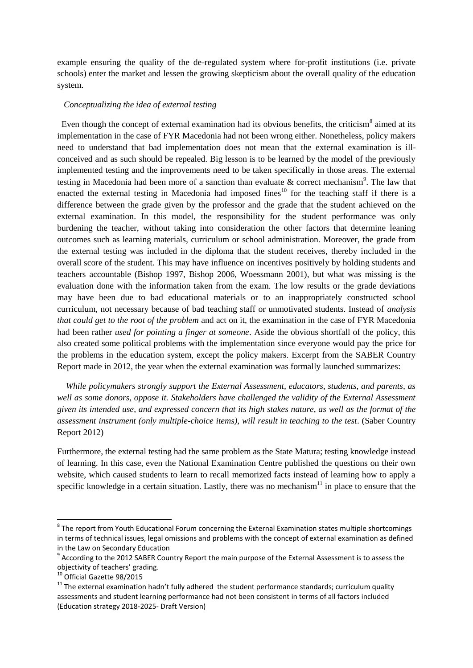example ensuring the quality of the de-regulated system where for-profit institutions (i.e. private schools) enter the market and lessen the growing skepticism about the overall quality of the education system.

#### *Conceptualizing the idea of external testing*

Even though the concept of external examination had its obvious benefits, the criticism<sup>8</sup> aimed at its implementation in the case of FYR Macedonia had not been wrong either. Nonetheless, policy makers need to understand that bad implementation does not mean that the external examination is illconceived and as such should be repealed. Big lesson is to be learned by the model of the previously implemented testing and the improvements need to be taken specifically in those areas. The external testing in Macedonia had been more of a sanction than evaluate  $\&$  correct mechanism<sup>9</sup>. The law that enacted the external testing in Macedonia had imposed fines<sup>10</sup> for the teaching staff if there is a difference between the grade given by the professor and the grade that the student achieved on the external examination. In this model, the responsibility for the student performance was only burdening the teacher, without taking into consideration the other factors that determine leaning outcomes such as learning materials, curriculum or school administration. Moreover, the grade from the external testing was included in the diploma that the student receives, thereby included in the overall score of the student. This may have influence on incentives positively by holding students and teachers accountable (Bishop 1997, Bishop 2006, Woessmann 2001), but what was missing is the evaluation done with the information taken from the exam. The low results or the grade deviations may have been due to bad educational materials or to an inappropriately constructed school curriculum, not necessary because of bad teaching staff or unmotivated students. Instead of *analysis that could get to the root of the problem* and act on it, the examination in the case of FYR Macedonia had been rather *used for pointing a finger at someone*. Aside the obvious shortfall of the policy, this also created some political problems with the implementation since everyone would pay the price for the problems in the education system, except the policy makers. Excerpt from the SABER Country Report made in 2012, the year when the external examination was formally launched summarizes:

 *While policymakers strongly support the External Assessment, educators, students, and parents, as well as some donors, oppose it. Stakeholders have challenged the validity of the External Assessment given its intended use, and expressed concern that its high stakes nature, as well as the format of the assessment instrument (only multiple-choice items), will result in teaching to the test*. (Saber Country Report 2012)

Furthermore, the external testing had the same problem as the State Matura; testing knowledge instead of learning. In this case, even the National Examination Centre published the questions on their own website, which caused students to learn to recall memorized facts instead of learning how to apply a specific knowledge in a certain situation. Lastly, there was no mechanism $11$  in place to ensure that the

 8 The report from Youth Educational Forum concerning the External Examination states multiple shortcomings in terms of technical issues, legal omissions and problems with the concept of external examination as defined

in the Law on Secondary Education<br><sup>9</sup> According to the 2012 SABER Country Report the main purpose of the External Assessment is to assess the objectivity of teachers' grading.

<sup>10</sup> Official Gazette 98/2015

 $11$  The external examination hadn't fully adhered the student performance standards; curriculum quality assessments and student learning performance had not been consistent in terms of all factors included (Education strategy 2018-2025- Draft Version)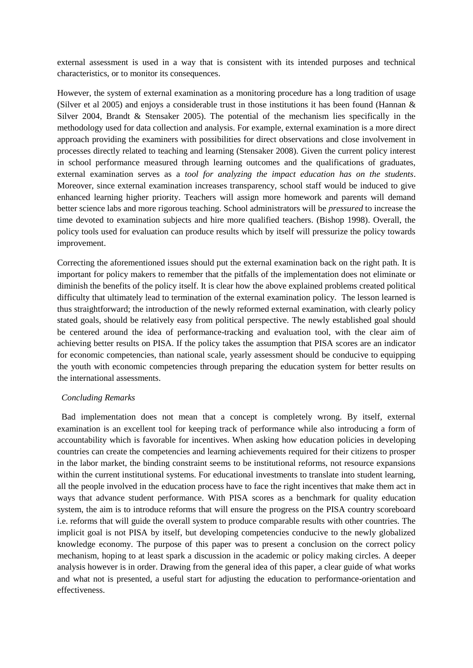external assessment is used in a way that is consistent with its intended purposes and technical characteristics, or to monitor its consequences.

However, the system of external examination as a monitoring procedure has a long tradition of usage (Silver et al 2005) and enjoys a considerable trust in those institutions it has been found (Hannan & Silver 2004, Brandt & Stensaker 2005). The potential of the mechanism lies specifically in the methodology used for data collection and analysis. For example, external examination is a more direct approach providing the examiners with possibilities for direct observations and close involvement in processes directly related to teaching and learning (Stensaker 2008). Given the current policy interest in school performance measured through learning outcomes and the qualifications of graduates, external examination serves as a *tool for analyzing the impact education has on the students*. Moreover, since external examination increases transparency, school staff would be induced to give enhanced learning higher priority. Teachers will assign more homework and parents will demand better science labs and more rigorous teaching. School administrators will be *pressured* to increase the time devoted to examination subjects and hire more qualified teachers. (Bishop 1998). Overall, the policy tools used for evaluation can produce results which by itself will pressurize the policy towards improvement.

Correcting the aforementioned issues should put the external examination back on the right path. It is important for policy makers to remember that the pitfalls of the implementation does not eliminate or diminish the benefits of the policy itself. It is clear how the above explained problems created political difficulty that ultimately lead to termination of the external examination policy. The lesson learned is thus straightforward; the introduction of the newly reformed external examination, with clearly policy stated goals, should be relatively easy from political perspective. The newly established goal should be centered around the idea of performance-tracking and evaluation tool, with the clear aim of achieving better results on PISA. If the policy takes the assumption that PISA scores are an indicator for economic competencies, than national scale, yearly assessment should be conducive to equipping the youth with economic competencies through preparing the education system for better results on the international assessments.

#### *Concluding Remarks*

 Bad implementation does not mean that a concept is completely wrong. By itself, external examination is an excellent tool for keeping track of performance while also introducing a form of accountability which is favorable for incentives. When asking how education policies in developing countries can create the competencies and learning achievements required for their citizens to prosper in the labor market, the binding constraint seems to be institutional reforms, not resource expansions within the current institutional systems. For educational investments to translate into student learning, all the people involved in the education process have to face the right incentives that make them act in ways that advance student performance. With PISA scores as a benchmark for quality education system, the aim is to introduce reforms that will ensure the progress on the PISA country scoreboard i.e. reforms that will guide the overall system to produce comparable results with other countries. The implicit goal is not PISA by itself, but developing competencies conducive to the newly globalized knowledge economy. The purpose of this paper was to present a conclusion on the correct policy mechanism, hoping to at least spark a discussion in the academic or policy making circles. A deeper analysis however is in order. Drawing from the general idea of this paper, a clear guide of what works and what not is presented, a useful start for adjusting the education to performance-orientation and effectiveness.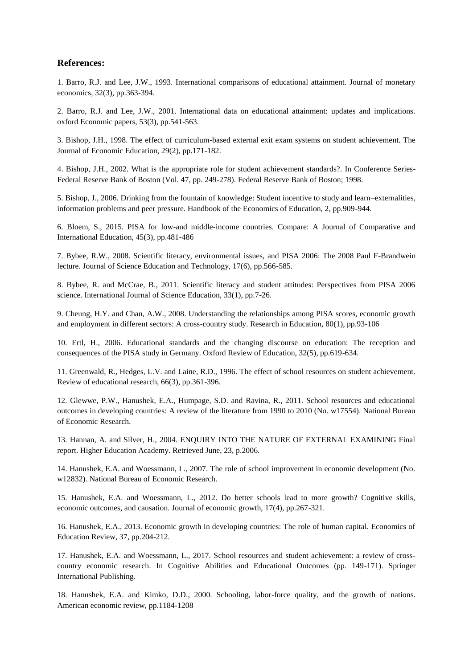# **References:**

1. Barro, R.J. and Lee, J.W., 1993. International comparisons of educational attainment. Journal of monetary economics, 32(3), pp.363-394.

2. Barro, R.J. and Lee, J.W., 2001. International data on educational attainment: updates and implications. oxford Economic papers, 53(3), pp.541-563.

3. Bishop, J.H., 1998. The effect of curriculum-based external exit exam systems on student achievement. The Journal of Economic Education, 29(2), pp.171-182.

4. Bishop, J.H., 2002. What is the appropriate role for student achievement standards?. In Conference Series-Federal Reserve Bank of Boston (Vol. 47, pp. 249-278). Federal Reserve Bank of Boston; 1998.

5. Bishop, J., 2006. Drinking from the fountain of knowledge: Student incentive to study and learn–externalities, information problems and peer pressure. Handbook of the Economics of Education, 2, pp.909-944.

6. Bloem, S., 2015. PISA for low-and middle-income countries. Compare: A Journal of Comparative and International Education, 45(3), pp.481-486

7. Bybee, R.W., 2008. Scientific literacy, environmental issues, and PISA 2006: The 2008 Paul F-Brandwein lecture. Journal of Science Education and Technology, 17(6), pp.566-585.

8. Bybee, R. and McCrae, B., 2011. Scientific literacy and student attitudes: Perspectives from PISA 2006 science. International Journal of Science Education, 33(1), pp.7-26.

9. Cheung, H.Y. and Chan, A.W., 2008. Understanding the relationships among PISA scores, economic growth and employment in different sectors: A cross-country study. Research in Education, 80(1), pp.93-106

10. Ertl, H., 2006. Educational standards and the changing discourse on education: The reception and consequences of the PISA study in Germany. Oxford Review of Education, 32(5), pp.619-634.

11. Greenwald, R., Hedges, L.V. and Laine, R.D., 1996. The effect of school resources on student achievement. Review of educational research, 66(3), pp.361-396.

12. Glewwe, P.W., Hanushek, E.A., Humpage, S.D. and Ravina, R., 2011. School resources and educational outcomes in developing countries: A review of the literature from 1990 to 2010 (No. w17554). National Bureau of Economic Research.

13. Hannan, A. and Silver, H., 2004. ENQUIRY INTO THE NATURE OF EXTERNAL EXAMINING Final report. Higher Education Academy. Retrieved June, 23, p.2006.

14. Hanushek, E.A. and Woessmann, L., 2007. The role of school improvement in economic development (No. w12832). National Bureau of Economic Research.

15. Hanushek, E.A. and Woessmann, L., 2012. Do better schools lead to more growth? Cognitive skills, economic outcomes, and causation. Journal of economic growth, 17(4), pp.267-321.

16. Hanushek, E.A., 2013. Economic growth in developing countries: The role of human capital. Economics of Education Review, 37, pp.204-212.

17. Hanushek, E.A. and Woessmann, L., 2017. School resources and student achievement: a review of crosscountry economic research. In Cognitive Abilities and Educational Outcomes (pp. 149-171). Springer International Publishing.

18. Hanushek, E.A. and Kimko, D.D., 2000. Schooling, labor-force quality, and the growth of nations. American economic review, pp.1184-1208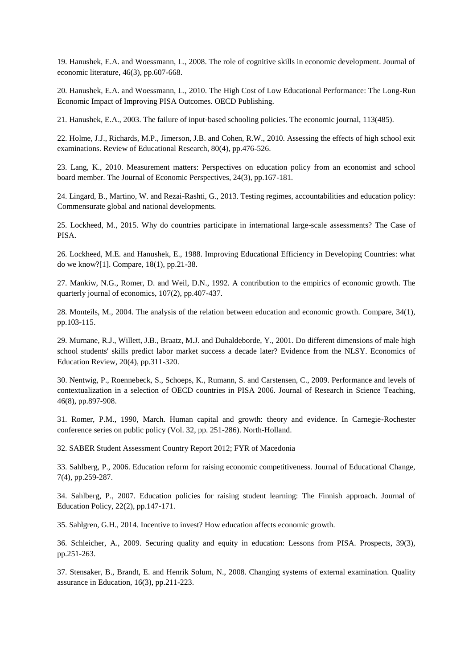19. Hanushek, E.A. and Woessmann, L., 2008. The role of cognitive skills in economic development. Journal of economic literature, 46(3), pp.607-668.

20. Hanushek, E.A. and Woessmann, L., 2010. The High Cost of Low Educational Performance: The Long-Run Economic Impact of Improving PISA Outcomes. OECD Publishing.

21. Hanushek, E.A., 2003. The failure of input‐based schooling policies. The economic journal, 113(485).

22. Holme, J.J., Richards, M.P., Jimerson, J.B. and Cohen, R.W., 2010. Assessing the effects of high school exit examinations. Review of Educational Research, 80(4), pp.476-526.

23. Lang, K., 2010. Measurement matters: Perspectives on education policy from an economist and school board member. The Journal of Economic Perspectives, 24(3), pp.167-181.

24. Lingard, B., Martino, W. and Rezai-Rashti, G., 2013. Testing regimes, accountabilities and education policy: Commensurate global and national developments.

25. Lockheed, M., 2015. Why do countries participate in international large-scale assessments? The Case of PISA.

26. Lockheed, M.E. and Hanushek, E., 1988. Improving Educational Efficiency in Developing Countries: what do we know?[1]. Compare, 18(1), pp.21-38.

27. Mankiw, N.G., Romer, D. and Weil, D.N., 1992. A contribution to the empirics of economic growth. The quarterly journal of economics, 107(2), pp.407-437.

28. Monteils, M., 2004. The analysis of the relation between education and economic growth. Compare, 34(1), pp.103-115.

29. Murnane, R.J., Willett, J.B., Braatz, M.J. and Duhaldeborde, Y., 2001. Do different dimensions of male high school students' skills predict labor market success a decade later? Evidence from the NLSY. Economics of Education Review, 20(4), pp.311-320.

30. Nentwig, P., Roennebeck, S., Schoeps, K., Rumann, S. and Carstensen, C., 2009. Performance and levels of contextualization in a selection of OECD countries in PISA 2006. Journal of Research in Science Teaching, 46(8), pp.897-908.

31. Romer, P.M., 1990, March. Human capital and growth: theory and evidence. In Carnegie-Rochester conference series on public policy (Vol. 32, pp. 251-286). North-Holland.

32. SABER Student Assessment Country Report 2012; FYR of Macedonia

33. Sahlberg, P., 2006. Education reform for raising economic competitiveness. Journal of Educational Change, 7(4), pp.259-287.

34. Sahlberg, P., 2007. Education policies for raising student learning: The Finnish approach. Journal of Education Policy, 22(2), pp.147-171.

35. Sahlgren, G.H., 2014. Incentive to invest? How education affects economic growth.

36. Schleicher, A., 2009. Securing quality and equity in education: Lessons from PISA. Prospects, 39(3), pp.251-263.

37. Stensaker, B., Brandt, E. and Henrik Solum, N., 2008. Changing systems of external examination. Quality assurance in Education, 16(3), pp.211-223.